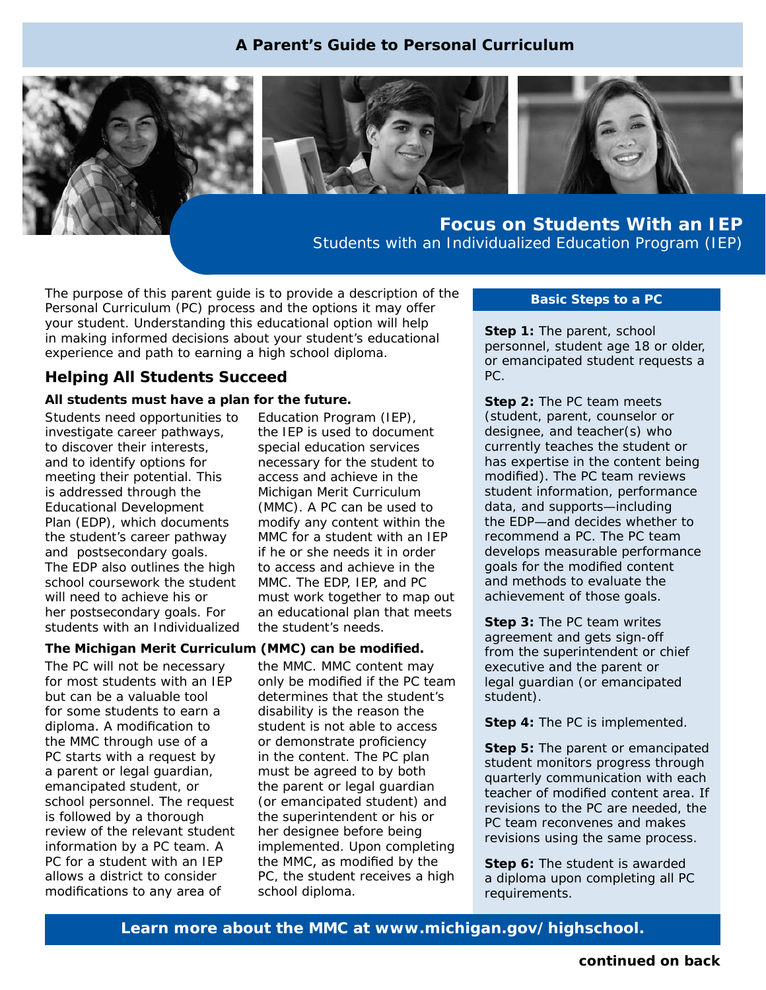# **A Parent's Guide to Personal Curriculum**



**Focus on Students With an IEP** *Students with an Individualized Education Program (IEP)*

The purpose of this parent guide is to provide a description of the Personal Curriculum (PC) process and the options it may offer your student. Understanding this educational option will help in making informed decisions about your student's educational experience and path to earning a high school diploma.

# **Helping All Students Succeed**

## **All students must have a plan for the future.**

Students need opportunities to investigate career pathways, to discover their interests, and to identify options for meeting their potential. This is addressed through the Educational Development Plan (EDP), which documents the student's career pathway and postsecondary goals. The EDP also outlines the high school coursework the student will need to achieve his or her postsecondary goals. For students with an Individualized

# **The Michigan Merit Curriculum (MMC) can be modified.**

The PC will not be necessary for most students with an IEP but can be a valuable tool for some students to earn a diploma. A modification to the MMC through use of a PC starts with a request by a parent or legal guardian, emancipated student, or school personnel. The request is followed by a thorough review of the relevant student information by a PC team. A PC for a student with an IEP allows a district to consider modifications to any area of

Education Program (IEP), the IEP is used to document special education services necessary for the student to access and achieve in the Michigan Merit Curriculum (MMC). A PC can be used to modify any content within the MMC for a student with an IEP if he or she needs it in order to access and achieve in the MMC. The EDP, IEP, and PC must work together to map out an educational plan that meets the student's needs.

the MMC. MMC content may only be modified if the PC team determines that the student's disability is the reason the student is not able to access or demonstrate proficiency in the content. The PC plan must be agreed to by both the parent or legal guardian (or emancipated student) and the superintendent or his or her designee before being implemented. Upon completing the MMC, as modified by the PC, the student receives a high school diploma.

# **Basic Steps to a PC**

**Step 1:** The parent, school personnel, student age 18 or older, or emancipated student requests a PC.

**Step 2:** The PC team meets (student, parent, counselor or designee, and teacher(s) who currently teaches the student or has expertise in the content being modified). The PC team reviews student information, performance data, and supports—including the EDP—and decides whether to recommend a PC. The PC team develops measurable performance goals for the modified content and methods to evaluate the achievement of those goals.

**Step 3:** The PC team writes agreement and gets sign-off from the superintendent or chief executive and the parent or legal guardian (or emancipated student).

**Step 4:** The PC is implemented.

**Step 5:** The parent or emancipated student monitors progress through quarterly communication with each teacher of modified content area. If revisions to the PC are needed, the PC team reconvenes and makes revisions using the same process.

**Step 6:** The student is awarded a diploma upon completing all PC requirements.

**Learn more about the MMC at www.michigan.gov/highschool.**